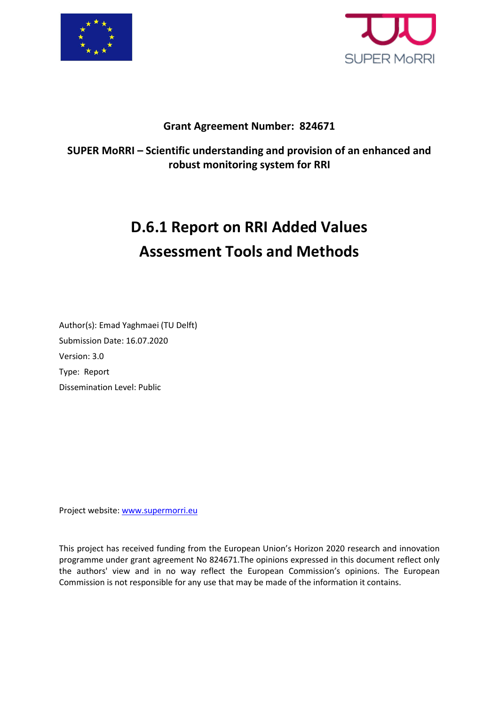



### **Grant Agreement Number: 824671**

### **SUPER MoRRI – Scientific understanding and provision of an enhanced and robust monitoring system for RRI**

# **D.6.1 Report on RRI Added Values Assessment Tools and Methods**

Author(s): Emad Yaghmaei (TU Delft) Submission Date: 16.07.2020 Version: 3.0 Type: Report Dissemination Level: Public

Project website: [www.supermorri.eu](http://www.supermorri.eu/)

This project has received funding from the European Union's Horizon 2020 research and innovation programme under grant agreement No 824671.The opinions expressed in this document reflect only the authors' view and in no way reflect the European Commission's opinions. The European Commission is not responsible for any use that may be made of the information it contains.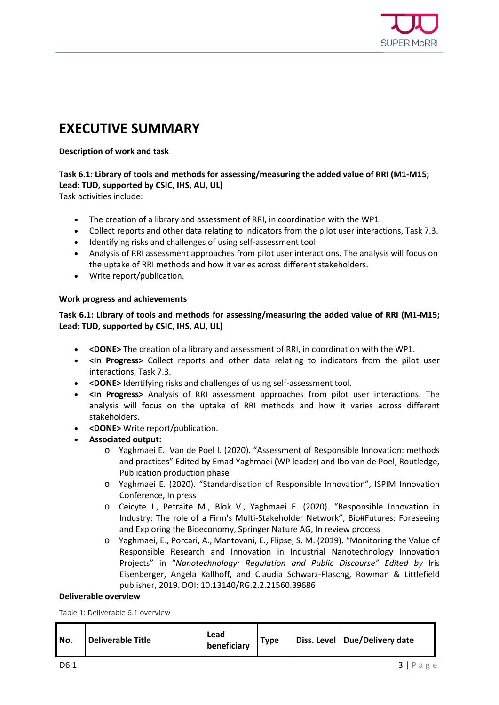

### <span id="page-1-0"></span>**EXECUTIVE SUMMARY**

#### **Description of work and task**

#### **Task 6.1: Library of tools and methods for assessing/measuring the added value of RRI (M1-M15; Lead: TUD, supported by CSIC, IHS, AU, UL)**

Task activities include:

- The creation of a library and assessment of RRI, in coordination with the WP1.
- Collect reports and other data relating to indicators from the pilot user interactions, Task 7.3.
- Identifying risks and challenges of using self-assessment tool.
- Analysis of RRI assessment approaches from pilot user interactions. The analysis will focus on the uptake of RRI methods and how it varies across different stakeholders.
- Write report/publication.

#### **Work progress and achievements**

#### **Task 6.1: Library of tools and methods for assessing/measuring the added value of RRI (M1-M15; Lead: TUD, supported by CSIC, IHS, AU, UL)**

- **<DONE>** The creation of a library and assessment of RRI, in coordination with the WP1.
- **<In Progress>** Collect reports and other data relating to indicators from the pilot user interactions, Task 7.3.
- **<DONE>** Identifying risks and challenges of using self-assessment tool.
- **<In Progress>** Analysis of RRI assessment approaches from pilot user interactions. The analysis will focus on the uptake of RRI methods and how it varies across different stakeholders.
- **<DONE>** Write report/publication.
- **Associated output:**
	- o Yaghmaei E., Van de Poel I. (2020). "Assessment of Responsible Innovation: methods and practices" Edited by Emad Yaghmaei (WP leader) and Ibo van de Poel, Routledge, Publication production phase
	- o Yaghmaei E. (2020). "Standardisation of Responsible Innovation", ISPIM Innovation Conference, In press
	- o Ceicyte J., Petraite M., Blok V., Yaghmaei E. (2020). "Responsible Innovation in Industry: The role of a Firm's Multi-Stakeholder Network", Bio#Futures: Foreseeing and Exploring the Bioeconomy, Springer Nature AG, In review process
	- o Yaghmaei, E., Porcari, A., Mantovani, E., Flipse, S. M. (2019). "Monitoring the Value of Responsible Research and Innovation in Industrial Nanotechnology Innovation Projects" in "*Nanotechnology: Regulation and Public Discourse" Edited by* Iris Eisenberger, Angela Kallhoff, and Claudia Schwarz-Plaschg, Rowman & Littlefield publisher, 2019. DOI: 10.13140/RG.2.2.21560.39686

#### **Deliverable overview**

<span id="page-1-1"></span>Table 1: Deliverable 6.1 overview

| Lead<br><b>Deliverable Title</b><br>No.<br>beneficiary | <b>Type</b> |  | Diss. Level   Due/Delivery date |
|--------------------------------------------------------|-------------|--|---------------------------------|
|--------------------------------------------------------|-------------|--|---------------------------------|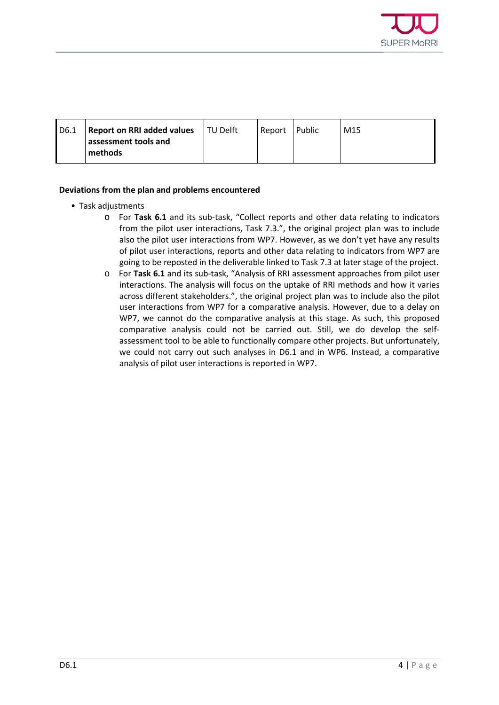

| I D6.1 | <b>Report on RRI added values</b> TU Delft | Report Public | M15 |
|--------|--------------------------------------------|---------------|-----|
|        | assessment tools and<br>methods            |               |     |

#### **Deviations from the plan and problems encountered**

- Task adjustments
	- o For **Task 6.1** and its sub-task, "Collect reports and other data relating to indicators from the pilot user interactions, Task 7.3.", the original project plan was to include also the pilot user interactions from WP7. However, as we don't yet have any results of pilot user interactions, reports and other data relating to indicators from WP7 are going to be reposted in the deliverable linked to Task 7.3 at later stage of the project.
	- o For **Task 6.1** and its sub-task, "Analysis of RRI assessment approaches from pilot user interactions. The analysis will focus on the uptake of RRI methods and how it varies across different stakeholders.", the original project plan was to include also the pilot user interactions from WP7 for a comparative analysis. However, due to a delay on WP7, we cannot do the comparative analysis at this stage. As such, this proposed comparative analysis could not be carried out. Still, we do develop the selfassessment tool to be able to functionally compare other projects. But unfortunately, we could not carry out such analyses in D6.1 and in WP6. Instead, a comparative analysis of pilot user interactions is reported in WP7.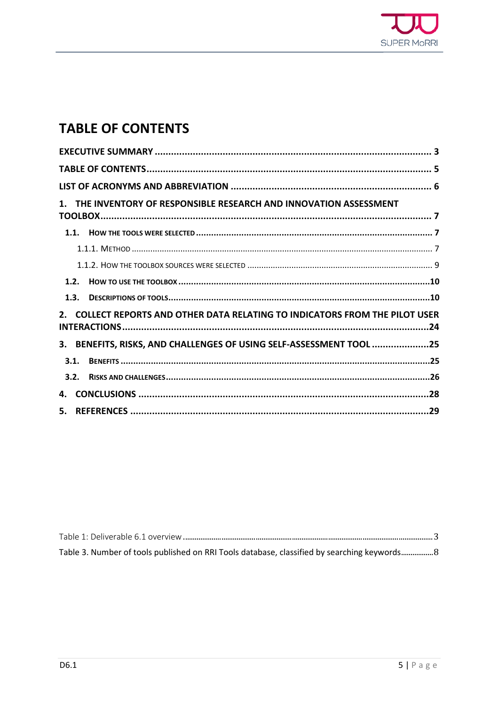

### <span id="page-3-0"></span>**TABLE OF CONTENTS**

|    |      | 1. THE INVENTORY OF RESPONSIBLE RESEARCH AND INNOVATION ASSESSMENT           |  |
|----|------|------------------------------------------------------------------------------|--|
|    |      |                                                                              |  |
|    |      |                                                                              |  |
|    |      |                                                                              |  |
|    |      |                                                                              |  |
|    |      |                                                                              |  |
|    |      |                                                                              |  |
|    |      | 2. COLLECT REPORTS AND OTHER DATA RELATING TO INDICATORS FROM THE PILOT USER |  |
|    |      | 3. BENEFITS, RISKS, AND CHALLENGES OF USING SELF-ASSESSMENT TOOL 25          |  |
|    | 3.1. |                                                                              |  |
|    |      |                                                                              |  |
| 4. |      |                                                                              |  |
|    |      |                                                                              |  |

Table 3. Number of tools published on RRI Tools database, classified by searching keywords.................. 8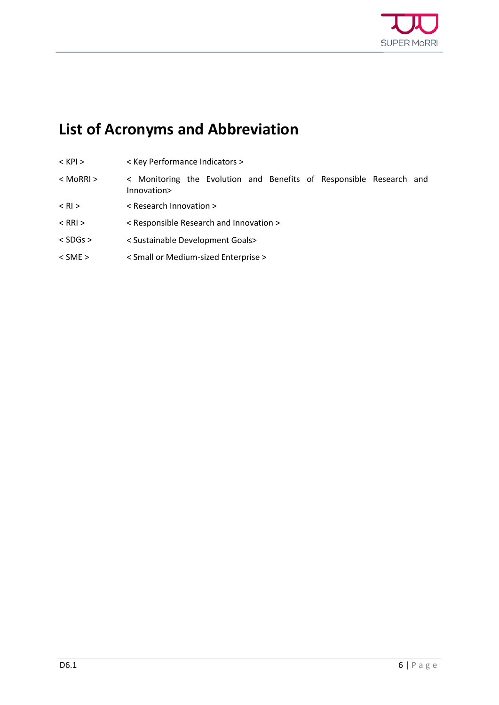

# <span id="page-4-0"></span>**List of Acronyms and Abbreviation**

- < KPI > < Key Performance Indicators >
- < MoRRI > < Monitoring the Evolution and Benefits of Responsible Research and Innovation>
- < RI > < Research Innovation >
- < RRI > < Responsible Research and Innovation >
- < SDGs > < Sustainable Development Goals>
- < SME > < Small or Medium-sized Enterprise >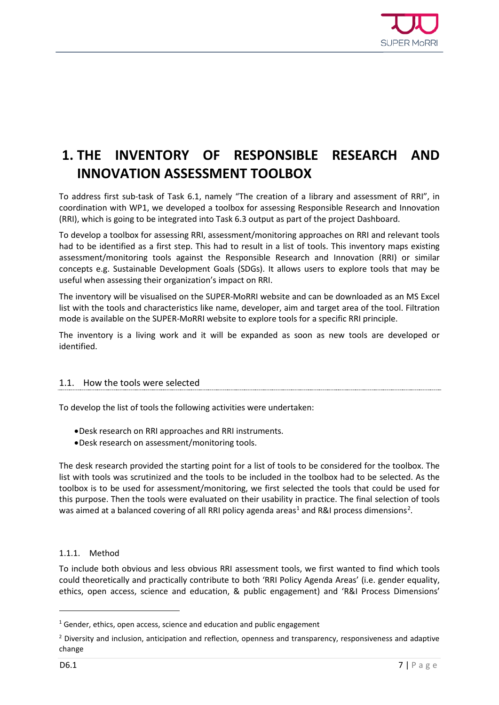

### <span id="page-5-0"></span>**1. THE INVENTORY OF RESPONSIBLE RESEARCH AND INNOVATION ASSESSMENT TOOLBOX**

To address first sub-task of Task 6.1, namely "The creation of a library and assessment of RRI", in coordination with WP1, we developed a toolbox for assessing Responsible Research and Innovation (RRI), which is going to be integrated into Task 6.3 output as part of the project Dashboard.

To develop a toolbox for assessing RRI, assessment/monitoring approaches on RRI and relevant tools had to be identified as a first step. This had to result in a list of tools. This inventory maps existing assessment/monitoring tools against the Responsible Research and Innovation (RRI) or similar concepts e.g. Sustainable Development Goals (SDGs). It allows users to explore tools that may be useful when assessing their organization's impact on RRI.

The inventory will be visualised on the SUPER-MoRRI website and can be downloaded as an MS Excel list with the tools and characteristics like name, developer, aim and target area of the tool. Filtration mode is available on the SUPER-MoRRI website to explore tools for a specific RRI principle.

The inventory is a living work and it will be expanded as soon as new tools are developed or identified.

#### <span id="page-5-1"></span>1.1. How the tools were selected

To develop the list of tools the following activities were undertaken:

- •Desk research on RRI approaches and RRI instruments.
- •Desk research on assessment/monitoring tools.

The desk research provided the starting point for a list of tools to be considered for the toolbox. The list with tools was scrutinized and the tools to be included in the toolbox had to be selected. As the toolbox is to be used for assessment/monitoring, we first selected the tools that could be used for this purpose. Then the tools were evaluated on their usability in practice. The final selection of tools was aimed at a balanced covering of all RRI policy agenda areas<sup>[1](#page-5-3)</sup> and R&I process dimensions<sup>[2](#page-5-4)</sup>.

#### <span id="page-5-2"></span>1.1.1. Method

To include both obvious and less obvious RRI assessment tools, we first wanted to find which tools could theoretically and practically contribute to both 'RRI Policy Agenda Areas' (i.e. gender equality, ethics, open access, science and education, & public engagement) and 'R&I Process Dimensions'

j

<span id="page-5-3"></span> $1$  Gender, ethics, open access, science and education and public engagement

<span id="page-5-4"></span><sup>&</sup>lt;sup>2</sup> Diversity and inclusion, anticipation and reflection, openness and transparency, responsiveness and adaptive change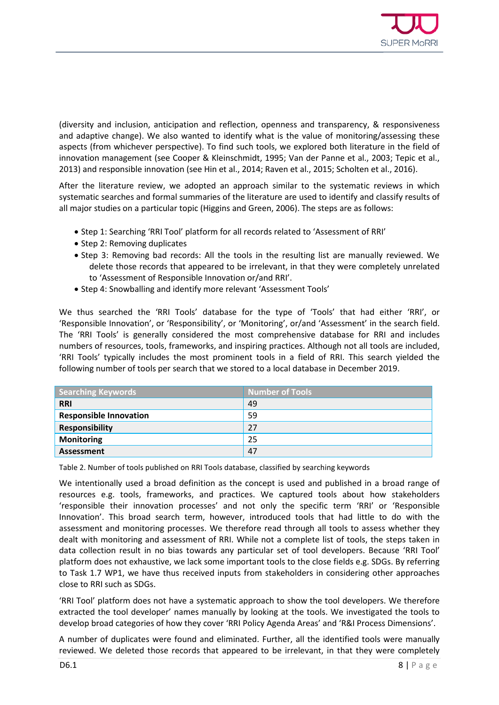

(diversity and inclusion, anticipation and reflection, openness and transparency, & responsiveness and adaptive change). We also wanted to identify what is the value of monitoring/assessing these aspects (from whichever perspective). To find such tools, we explored both literature in the field of innovation management (see Cooper & Kleinschmidt, 1995; Van der Panne et al., 2003; Tepic et al., 2013) and responsible innovation (see Hin et al., 2014; Raven et al., 2015; Scholten et al., 2016).

After the literature review, we adopted an approach similar to the systematic reviews in which systematic searches and formal summaries of the literature are used to identify and classify results of all major studies on a particular topic (Higgins and Green, 2006). The steps are as follows:

- Step 1: Searching 'RRI Tool' platform for all records related to 'Assessment of RRI'
- Step 2: Removing duplicates
- Step 3: Removing bad records: All the tools in the resulting list are manually reviewed. We delete those records that appeared to be irrelevant, in that they were completely unrelated to 'Assessment of Responsible Innovation or/and RRI'.
- Step 4: Snowballing and identify more relevant 'Assessment Tools'

We thus searched the 'RRI Tools' database for the type of 'Tools' that had either 'RRI', or 'Responsible Innovation', or 'Responsibility', or 'Monitoring', or/and 'Assessment' in the search field. The 'RRI Tools' is generally considered the most comprehensive database for RRI and includes numbers of resources, tools, frameworks, and inspiring practices. Although not all tools are included, 'RRI Tools' typically includes the most prominent tools in a field of RRI. This search yielded the following number of tools per search that we stored to a local database in December 2019.

| <b>Searching Keywords</b>     | <b>Number of Tools</b> |
|-------------------------------|------------------------|
| <b>RRI</b>                    | 49                     |
| <b>Responsible Innovation</b> | 59                     |
| <b>Responsibility</b>         | 27                     |
| <b>Monitoring</b>             | 25                     |
| Assessment                    | 47                     |

<span id="page-6-0"></span>Table 2. Number of tools published on RRI Tools database, classified by searching keywords

We intentionally used a broad definition as the concept is used and published in a broad range of resources e.g. tools, frameworks, and practices. We captured tools about how stakeholders 'responsible their innovation processes' and not only the specific term 'RRI' or 'Responsible Innovation'. This broad search term, however, introduced tools that had little to do with the assessment and monitoring processes. We therefore read through all tools to assess whether they dealt with monitoring and assessment of RRI. While not a complete list of tools, the steps taken in data collection result in no bias towards any particular set of tool developers. Because 'RRI Tool' platform does not exhaustive, we lack some important tools to the close fields e.g. SDGs. By referring to Task 1.7 WP1, we have thus received inputs from stakeholders in considering other approaches close to RRI such as SDGs.

'RRI Tool' platform does not have a systematic approach to show the tool developers. We therefore extracted the tool developer' names manually by looking at the tools. We investigated the tools to develop broad categories of how they cover 'RRI Policy Agenda Areas' and 'R&I Process Dimensions'.

A number of duplicates were found and eliminated. Further, all the identified tools were manually reviewed. We deleted those records that appeared to be irrelevant, in that they were completely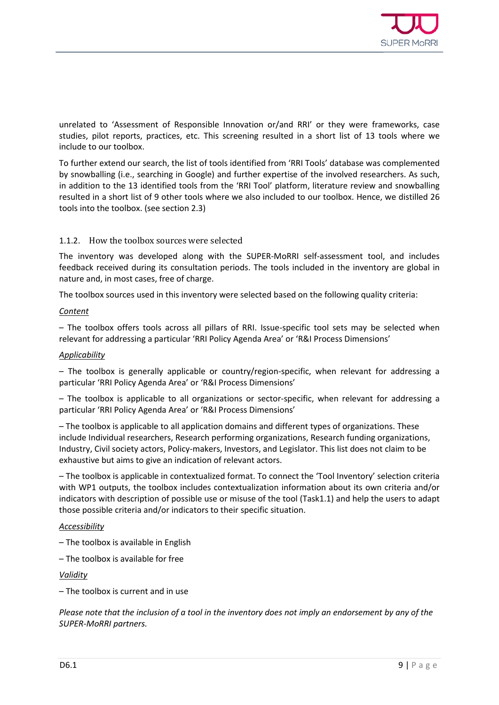

unrelated to 'Assessment of Responsible Innovation or/and RRI' or they were frameworks, case studies, pilot reports, practices, etc. This screening resulted in a short list of 13 tools where we include to our toolbox.

To further extend our search, the list of tools identified from 'RRI Tools' database was complemented by snowballing (i.e., searching in Google) and further expertise of the involved researchers. As such, in addition to the 13 identified tools from the 'RRI Tool' platform, literature review and snowballing resulted in a short list of 9 other tools where we also included to our toolbox. Hence, we distilled 26 tools into the toolbox. (see section 2.3)

#### <span id="page-7-0"></span>1.1.2. How the toolbox sources were selected

The inventory was developed along with the SUPER-MoRRI self-assessment tool, and includes feedback received during its consultation periods. The tools included in the inventory are global in nature and, in most cases, free of charge.

The toolbox sources used in this inventory were selected based on the following quality criteria:

#### *Content*

– The toolbox offers tools across all pillars of RRI. Issue-specific tool sets may be selected when relevant for addressing a particular 'RRI Policy Agenda Area' or 'R&I Process Dimensions'

#### *Applicability*

– The toolbox is generally applicable or country/region-specific, when relevant for addressing a particular 'RRI Policy Agenda Area' or 'R&I Process Dimensions'

– The toolbox is applicable to all organizations or sector-specific, when relevant for addressing a particular 'RRI Policy Agenda Area' or 'R&I Process Dimensions'

– The toolbox is applicable to all application domains and different types of organizations. These include Individual researchers, Research performing organizations, Research funding organizations, Industry, Civil society actors, Policy-makers, Investors, and Legislator. This list does not claim to be exhaustive but aims to give an indication of relevant actors.

– The toolbox is applicable in contextualized format. To connect the 'Tool Inventory' selection criteria with WP1 outputs, the toolbox includes contextualization information about its own criteria and/or indicators with description of possible use or misuse of the tool (Task1.1) and help the users to adapt those possible criteria and/or indicators to their specific situation.

#### *Accessibility*

- The toolbox is available in English
- The toolbox is available for free

*Validity*

– The toolbox is current and in use

*Please note that the inclusion of a tool in the inventory does not imply an endorsement by any of the SUPER-MoRRI partners.*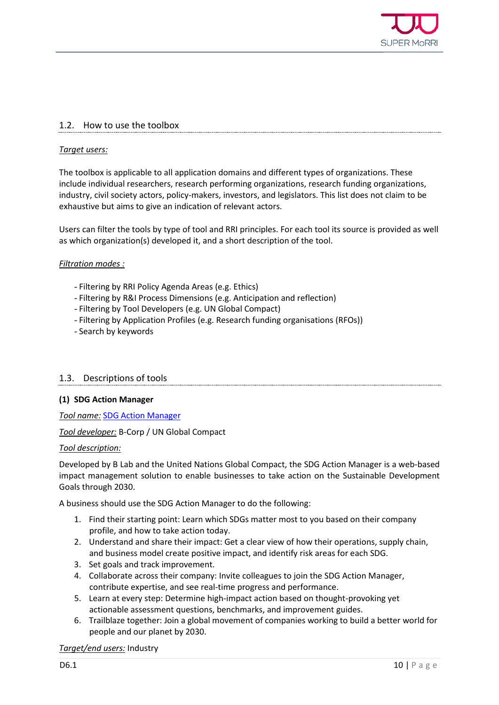

#### <span id="page-8-0"></span>1.2. How to use the toolbox

#### *Target users:*

The toolbox is applicable to all application domains and different types of organizations. These include individual researchers, research performing organizations, research funding organizations, industry, civil society actors, policy-makers, investors, and legislators. This list does not claim to be exhaustive but aims to give an indication of relevant actors.

Users can filter the tools by type of tool and RRI principles. For each tool its source is provided as well as which organization(s) developed it, and a short description of the tool.

#### *Filtration modes :*

- Filtering by RRI Policy Agenda Areas (e.g. Ethics)
- Filtering by R&I Process Dimensions (e.g. Anticipation and reflection)
- Filtering by Tool Developers (e.g. UN Global Compact)
- Filtering by Application Profiles (e.g. Research funding organisations (RFOs))
- Search by keywords

#### <span id="page-8-1"></span>1.3. Descriptions of tools

#### **(1) SDG Action Manager**

*Tool name:* [SDG Action Manager](https://app.bimpactassessment.net/get-started/sdg-action-manager?_ga=2.33365182.167067211.1580303898-231925709.1580303898)

*Tool developer:* B-Corp / UN Global Compact

#### *Tool description:*

Developed by B Lab and the United Nations Global Compact, the SDG Action Manager is a web-based impact management solution to enable businesses to take action on the Sustainable Development Goals through 2030.

A business should use the SDG Action Manager to do the following:

- 1. Find their starting point: Learn which SDGs matter most to you based on their company profile, and how to take action today.
- 2. Understand and share their impact: Get a clear view of how their operations, supply chain, and business model create positive impact, and identify risk areas for each SDG.
- 3. Set goals and track improvement.
- 4. Collaborate across their company: Invite colleagues to join the SDG Action Manager, contribute expertise, and see real-time progress and performance.
- 5. Learn at every step: Determine high-impact action based on thought-provoking yet actionable assessment questions, benchmarks, and improvement guides.
- 6. Trailblaze together: Join a global movement of companies working to build a better world for people and our planet by 2030.

#### *Target/end users:* Industry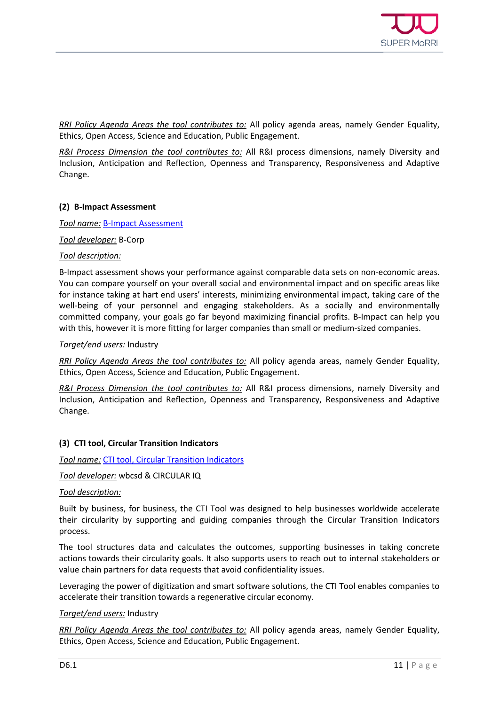

*RRI Policy Agenda Areas the tool contributes to:* All policy agenda areas, namely Gender Equality, Ethics, Open Access, Science and Education, Public Engagement.

*R&I Process Dimension the tool contributes to:* All R&I process dimensions, namely Diversity and Inclusion, Anticipation and Reflection, Openness and Transparency, Responsiveness and Adaptive Change.

#### **(2) B-Impact Assessment**

*Tool name:* [B-Impact Assessment](https://bimpactassessment.net/bcorporation)

*Tool developer:* B-Corp

#### *Tool description:*

B-Impact assessment shows your performance against comparable data sets on non-economic areas. You can compare yourself on your overall social and environmental impact and on specific areas like for instance taking at hart end users' interests, minimizing environmental impact, taking care of the well-being of your personnel and engaging stakeholders. As a socially and environmentally committed company, your goals go far beyond maximizing financial profits. B-Impact can help you with this, however it is more fitting for larger companies than small or medium-sized companies.

#### *Target/end users:* Industry

*RRI Policy Agenda Areas the tool contributes to:* All policy agenda areas, namely Gender Equality, Ethics, Open Access, Science and Education, Public Engagement.

*R&I Process Dimension the tool contributes to:* All R&I process dimensions, namely Diversity and Inclusion, Anticipation and Reflection, Openness and Transparency, Responsiveness and Adaptive Change.

#### **(3) CTI tool, Circular Transition Indicators**

*Tool name:* [CTI tool, Circular Transition Indicators](https://www.ctitool.com/)

*Tool developer:* wbcsd & CIRCULAR IQ

#### *Tool description:*

Built by business, for business, the CTI Tool was designed to help businesses worldwide accelerate their circularity by supporting and guiding companies through the Circular Transition Indicators process.

The tool structures data and calculates the outcomes, supporting businesses in taking concrete actions towards their circularity goals. It also supports users to reach out to internal stakeholders or value chain partners for data requests that avoid confidentiality issues.

Leveraging the power of digitization and smart software solutions, the CTI Tool enables companies to accelerate their transition towards a regenerative circular economy.

#### *Target/end users:* Industry

*RRI Policy Agenda Areas the tool contributes to:* All policy agenda areas, namely Gender Equality, Ethics, Open Access, Science and Education, Public Engagement.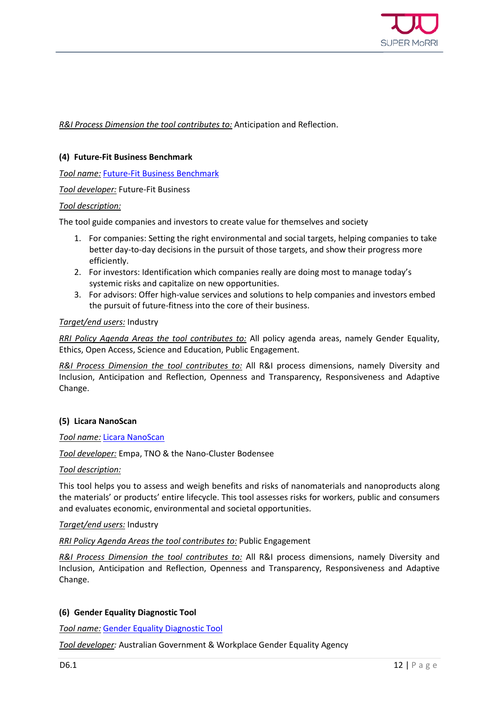

*R&I Process Dimension the tool contributes to:* Anticipation and Reflection.

#### **(4) Future-Fit Business Benchmark**

*Tool name:* [Future-Fit Business Benchmark](https://futurefitbusiness.org/)

*Tool developer:* Future-Fit Business

#### *Tool description:*

The tool guide companies and investors to create value for themselves and society

- 1. For companies: Setting the right environmental and social targets, helping companies to take better day-to-day decisions in the pursuit of those targets, and show their progress more efficiently.
- 2. For investors: Identification which companies really are doing most to manage today's systemic risks and capitalize on new opportunities.
- 3. For advisors: Offer high-value services and solutions to help companies and investors embed the pursuit of future-fitness into the core of their business.

#### *Target/end users:* Industry

*RRI Policy Agenda Areas the tool contributes to:* All policy agenda areas, namely Gender Equality, Ethics, Open Access, Science and Education, Public Engagement.

*R&I Process Dimension the tool contributes to:* All R&I process dimensions, namely Diversity and Inclusion, Anticipation and Reflection, Openness and Transparency, Responsiveness and Adaptive Change.

#### **(5) Licara NanoScan**

#### *Tool name:* [Licara NanoScan](https://www.tno.nl/media/4385/licara-guidelines-for-the-sustainable-competitiveness-of-nanoproducts.pdf)

*Tool developer:* Empa, TNO & the Nano-Cluster Bodensee

#### *Tool description:*

This tool helps you to assess and weigh benefits and risks of nanomaterials and nanoproducts along the materials' or products' entire lifecycle. This tool assesses risks for workers, public and consumers and evaluates economic, environmental and societal opportunities.

#### *Target/end users:* Industry

#### *RRI Policy Agenda Areas the tool contributes to:* Public Engagement

*R&I Process Dimension the tool contributes to:* All R&I process dimensions, namely Diversity and Inclusion, Anticipation and Reflection, Openness and Transparency, Responsiveness and Adaptive Change.

#### **(6) Gender Equality Diagnostic Tool**

*Tool name:* [Gender Equality Diagnostic Tool](https://wgea.gov.au/sites/default/files/documents/2019_WGEA_GE_Diagnostic_Tool_0.pdf)

*Tool developer:* Australian Government & Workplace Gender Equality Agency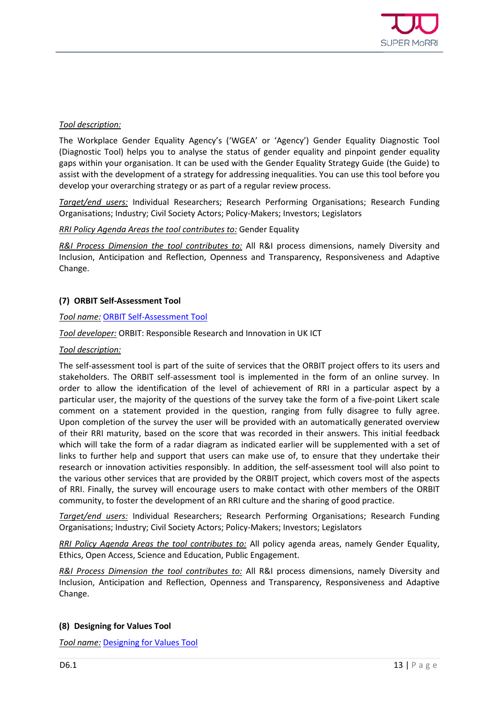

#### *Tool description:*

The Workplace Gender Equality Agency's ('WGEA' or 'Agency') Gender Equality Diagnostic Tool (Diagnostic Tool) helps you to analyse the status of gender equality and pinpoint gender equality gaps within your organisation. It can be used with the Gender Equality Strategy Guide (the Guide) to assist with the development of a strategy for addressing inequalities. You can use this tool before you develop your overarching strategy or as part of a regular review process.

*Target/end users:* Individual Researchers; Research Performing Organisations; Research Funding Organisations; Industry; Civil Society Actors; Policy-Makers; Investors; Legislators

#### *RRI Policy Agenda Areas the tool contributes to:* Gender Equality

*R&I Process Dimension the tool contributes to:* All R&I process dimensions, namely Diversity and Inclusion, Anticipation and Reflection, Openness and Transparency, Responsiveness and Adaptive Change.

#### **(7) ORBIT Self-Assessment Tool**

#### *Tool name:* [ORBIT Self-Assessment Tool](https://www.orbit-rri.org/self-assessment-tool-introduction/)

#### *Tool developer:* ORBIT: Responsible Research and Innovation in UK ICT

#### *Tool description:*

The self-assessment tool is part of the suite of services that the ORBIT project offers to its users and stakeholders. The ORBIT self-assessment tool is implemented in the form of an online survey. In order to allow the identification of the level of achievement of RRI in a particular aspect by a particular user, the majority of the questions of the survey take the form of a five-point Likert scale comment on a statement provided in the question, ranging from fully disagree to fully agree. Upon completion of the survey the user will be provided with an automatically generated overview of their RRI maturity, based on the score that was recorded in their answers. This initial feedback which will take the form of a radar diagram as indicated earlier will be supplemented with a set of links to further help and support that users can make use of, to ensure that they undertake their research or innovation activities responsibly. In addition, the self-assessment tool will also point to the various other services that are provided by the ORBIT project, which covers most of the aspects of RRI. Finally, the survey will encourage users to make contact with other members of the ORBIT community, to foster the development of an RRI culture and the sharing of good practice.

*Target/end users:* Individual Researchers; Research Performing Organisations; Research Funding Organisations; Industry; Civil Society Actors; Policy-Makers; Investors; Legislators

*RRI Policy Agenda Areas the tool contributes to:* All policy agenda areas, namely Gender Equality, Ethics, Open Access, Science and Education, Public Engagement.

*R&I Process Dimension the tool contributes to:* All R&I process dimensions, namely Diversity and Inclusion, Anticipation and Reflection, Openness and Transparency, Responsiveness and Adaptive Change.

#### **(8) Designing for Values Tool**

*Tool name:* [Designing for Values Tool](https://www.delftdesignforvalues.nl/online-courses/)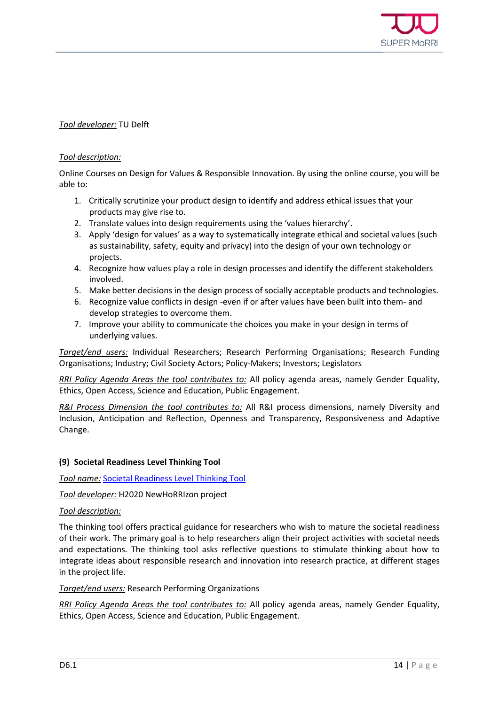

#### *Tool developer:* TU Delft

#### *Tool description:*

Online Courses on Design for Values & Responsible Innovation. By using the online course, you will be able to:

- 1. Critically scrutinize your product design to identify and address ethical issues that your products may give rise to.
- 2. Translate values into design requirements using the 'values hierarchy'.
- 3. Apply 'design for values' as a way to systematically integrate ethical and societal values (such as sustainability, safety, equity and privacy) into the design of your own technology or projects.
- 4. Recognize how values play a role in design processes and identify the different stakeholders involved.
- 5. Make better decisions in the design process of socially acceptable products and technologies.
- 6. Recognize value conflicts in design -even if or after values have been built into them- and develop strategies to overcome them.
- 7. Improve your ability to communicate the choices you make in your design in terms of underlying values.

*Target/end users:* Individual Researchers; Research Performing Organisations; Research Funding Organisations; Industry; Civil Society Actors; Policy-Makers; Investors; Legislators

*RRI Policy Agenda Areas the tool contributes to:* All policy agenda areas, namely Gender Equality, Ethics, Open Access, Science and Education, Public Engagement.

*R&I Process Dimension the tool contributes to:* All R&I process dimensions, namely Diversity and Inclusion, Anticipation and Reflection, Openness and Transparency, Responsiveness and Adaptive Change.

#### **(9) Societal Readiness Level Thinking Tool**

*Tool name:* [Societal Readiness Level Thinking Tool](https://www.thinkingtool.eu/)

*Tool developer:* H2020 NewHoRRIzon project

#### *Tool description:*

The thinking tool offers practical guidance for researchers who wish to mature the societal readiness of their work. The primary goal is to help researchers align their project activities with societal needs and expectations. The thinking tool asks reflective questions to stimulate thinking about how to integrate ideas about responsible research and innovation into research practice, at different stages in the project life.

#### *Target/end users:* Research Performing Organizations

*RRI Policy Agenda Areas the tool contributes to:* All policy agenda areas, namely Gender Equality, Ethics, Open Access, Science and Education, Public Engagement.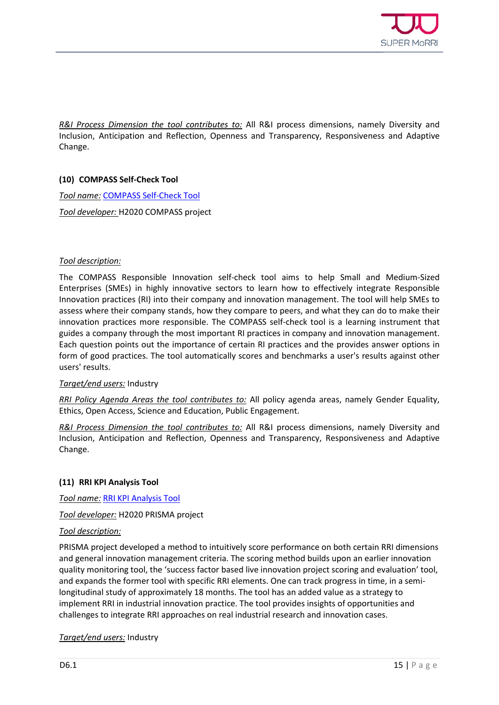

*R&I Process Dimension the tool contributes to:* All R&I process dimensions, namely Diversity and Inclusion, Anticipation and Reflection, Openness and Transparency, Responsiveness and Adaptive Change.

#### **(10) COMPASS Self-Check Tool**

*Tool name:* [COMPASS Self-Check Tool](http://self-check-tool.innovation-compass.eu/faq)

*Tool developer:* H2020 COMPASS project

#### *Tool description:*

The COMPASS Responsible Innovation self-check tool aims to help Small and Medium-Sized Enterprises (SMEs) in highly innovative sectors to learn how to effectively integrate Responsible Innovation practices (RI) into their company and innovation management. The tool will help SMEs to assess where their company stands, how they compare to peers, and what they can do to make their innovation practices more responsible. The COMPASS self-check tool is a learning instrument that guides a company through the most important RI practices in company and innovation management. Each question points out the importance of certain RI practices and the provides answer options in form of good practices. The tool automatically scores and benchmarks a user's results against other users' results.

#### *Target/end users:* Industry

*RRI Policy Agenda Areas the tool contributes to:* All policy agenda areas, namely Gender Equality, Ethics, Open Access, Science and Education, Public Engagement.

*R&I Process Dimension the tool contributes to:* All R&I process dimensions, namely Diversity and Inclusion, Anticipation and Reflection, Openness and Transparency, Responsiveness and Adaptive Change.

#### **(11) RRI KPI Analysis Tool**

*Tool name:* [RRI KPI Analysis Tool](http://tool.successdetectives.nl/login)

*Tool developer:* H2020 PRISMA project

#### *Tool description:*

PRISMA project developed a method to intuitively score performance on both certain RRI dimensions and general innovation management criteria. The scoring method builds upon an earlier innovation quality monitoring tool, the 'success factor based live innovation project scoring and evaluation' tool, and expands the former tool with specific RRI elements. One can track progress in time, in a semilongitudinal study of approximately 18 months. The tool has an added value as a strategy to implement RRI in industrial innovation practice. The tool provides insights of opportunities and challenges to integrate RRI approaches on real industrial research and innovation cases.

*Target/end users:* Industry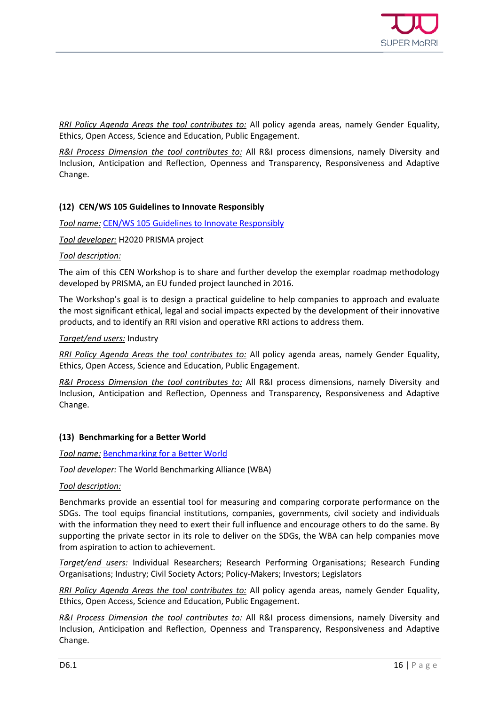

*RRI Policy Agenda Areas the tool contributes to:* All policy agenda areas, namely Gender Equality, Ethics, Open Access, Science and Education, Public Engagement.

*R&I Process Dimension the tool contributes to:* All R&I process dimensions, namely Diversity and Inclusion, Anticipation and Reflection, Openness and Transparency, Responsiveness and Adaptive Change.

#### **(12) CEN/WS 105 Guidelines to Innovate Responsibly**

*Tool name:* [CEN/WS 105 Guidelines to Innovate Responsibly](https://www.cen.eu/news/workshops/pages/ws-2019-010.aspx)

*Tool developer:* H2020 PRISMA project

#### *Tool description:*

The aim of this CEN Workshop is to share and further develop the exemplar roadmap methodology developed by PRISMA, an EU funded project launched in 2016.

The Workshop's goal is to design a practical guideline to help companies to approach and evaluate the most significant ethical, legal and social impacts expected by the development of their innovative products, and to identify an RRI vision and operative RRI actions to address them.

#### *Target/end users:* Industry

*RRI Policy Agenda Areas the tool contributes to:* All policy agenda areas, namely Gender Equality, Ethics, Open Access, Science and Education, Public Engagement.

*R&I Process Dimension the tool contributes to:* All R&I process dimensions, namely Diversity and Inclusion, Anticipation and Reflection, Openness and Transparency, Responsiveness and Adaptive Change.

#### **(13) Benchmarking for a Better World**

*Tool name:* [Benchmarking for a Better World](https://www.worldbenchmarkingalliance.org/)

*Tool developer:* The World Benchmarking Alliance (WBA)

#### *Tool description:*

Benchmarks provide an essential tool for measuring and comparing corporate performance on the SDGs. The tool equips financial institutions, companies, governments, civil society and individuals with the information they need to exert their full influence and encourage others to do the same. By supporting the private sector in its role to deliver on the SDGs, the WBA can help companies move from aspiration to action to achievement.

*Target/end users:* Individual Researchers; Research Performing Organisations; Research Funding Organisations; Industry; Civil Society Actors; Policy-Makers; Investors; Legislators

*RRI Policy Agenda Areas the tool contributes to:* All policy agenda areas, namely Gender Equality, Ethics, Open Access, Science and Education, Public Engagement.

*R&I Process Dimension the tool contributes to:* All R&I process dimensions, namely Diversity and Inclusion, Anticipation and Reflection, Openness and Transparency, Responsiveness and Adaptive Change.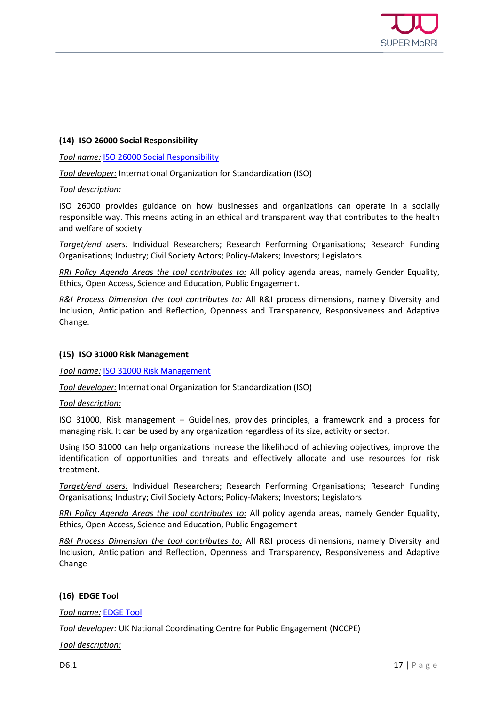

#### **(14) ISO 26000 Social Responsibility**

#### *Tool name:* [ISO 26000 Social Responsibility](https://www.iso.org/iso-26000-social-responsibility.html)

*Tool developer:* International Organization for Standardization (ISO)

#### *Tool description:*

ISO 26000 provides guidance on how businesses and organizations can operate in a socially responsible way. This means acting in an ethical and transparent way that contributes to the health and welfare of society.

*Target/end users:* Individual Researchers; Research Performing Organisations; Research Funding Organisations; Industry; Civil Society Actors; Policy-Makers; Investors; Legislators

*RRI Policy Agenda Areas the tool contributes to:* All policy agenda areas, namely Gender Equality, Ethics, Open Access, Science and Education, Public Engagement.

*R&I Process Dimension the tool contributes to:* All R&I process dimensions, namely Diversity and Inclusion, Anticipation and Reflection, Openness and Transparency, Responsiveness and Adaptive Change.

#### **(15) ISO 31000 Risk Management**

#### *Tool name:* [ISO 31000 Risk Management](https://www.iso.org/iso-31000-risk-management.html)

*Tool developer:* International Organization for Standardization (ISO)

#### *Tool description:*

ISO 31000, Risk management – Guidelines, provides principles, a framework and a process for managing risk. It can be used by any organization regardless of its size, activity or sector.

Using ISO 31000 can help organizations increase the likelihood of achieving objectives, improve the identification of opportunities and threats and effectively allocate and use resources for risk treatment.

*Target/end users:* Individual Researchers; Research Performing Organisations; Research Funding Organisations; Industry; Civil Society Actors; Policy-Makers; Investors; Legislators

*RRI Policy Agenda Areas the tool contributes to:* All policy agenda areas, namely Gender Equality, Ethics, Open Access, Science and Education, Public Engagement

*R&I Process Dimension the tool contributes to:* All R&I process dimensions, namely Diversity and Inclusion, Anticipation and Reflection, Openness and Transparency, Responsiveness and Adaptive Change

#### **(16) EDGE Tool**

*Tool name:* [EDGE Tool](https://www.publicengagement.ac.uk/support-engagement/strategy-and-planning/edge-tool/interactive-edge)

*Tool developer:* UK National Coordinating Centre for Public Engagement (NCCPE)

*Tool description:*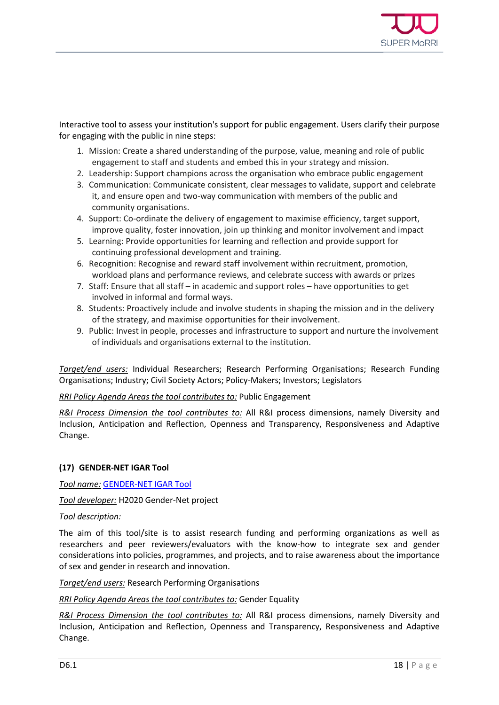

Interactive tool to assess your institution's support for public engagement. Users clarify their purpose for engaging with the public in nine steps:

- 1. Mission: Create a shared understanding of the purpose, value, meaning and role of public engagement to staff and students and embed this in your strategy and mission.
- 2. Leadership: Support champions across the organisation who embrace public engagement
- 3. Communication: Communicate consistent, clear messages to validate, support and celebrate it, and ensure open and two-way communication with members of the public and community organisations.
- 4. Support: Co-ordinate the delivery of engagement to maximise efficiency, target support, improve quality, foster innovation, join up thinking and monitor involvement and impact
- 5. Learning: Provide opportunities for learning and reflection and provide support for continuing professional development and training.
- 6. Recognition: Recognise and reward staff involvement within recruitment, promotion, workload plans and performance reviews, and celebrate success with awards or prizes
- 7. Staff: Ensure that all staff in academic and support roles have opportunities to get involved in informal and formal ways.
- 8. Students: Proactively include and involve students in shaping the mission and in the delivery of the strategy, and maximise opportunities for their involvement.
- 9. Public: Invest in people, processes and infrastructure to support and nurture the involvement of individuals and organisations external to the institution.

*Target/end users:* Individual Researchers; Research Performing Organisations; Research Funding Organisations; Industry; Civil Society Actors; Policy-Makers; Investors; Legislators

#### *RRI Policy Agenda Areas the tool contributes to:* Public Engagement

*R&I Process Dimension the tool contributes to:* All R&I process dimensions, namely Diversity and Inclusion, Anticipation and Reflection, Openness and Transparency, Responsiveness and Adaptive Change.

#### **(17) GENDER-NET IGAR Tool**

*Tool name:* [GENDER-NET IGAR Tool](http://igar-tool.gender-net.eu/en)

*Tool developer:* H2020 Gender-Net project

#### *Tool description:*

The aim of this tool/site is to assist research funding and performing organizations as well as researchers and peer reviewers/evaluators with the know-how to integrate sex and gender considerations into policies, programmes, and projects, and to raise awareness about the importance of sex and gender in research and innovation.

*Target/end users:* Research Performing Organisations

#### *RRI Policy Agenda Areas the tool contributes to:* Gender Equality

*R&I Process Dimension the tool contributes to:* All R&I process dimensions, namely Diversity and Inclusion, Anticipation and Reflection, Openness and Transparency, Responsiveness and Adaptive Change.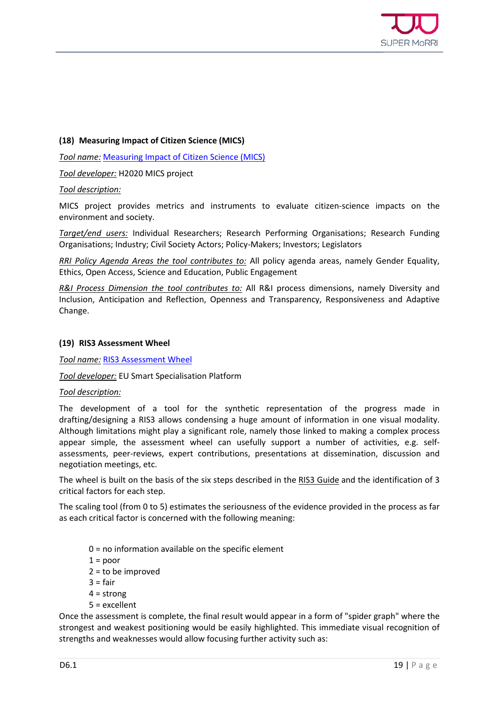

#### **(18) Measuring Impact of Citizen Science (MICS)**

*Tool name:* [Measuring Impact of Citizen Science \(MICS\)](https://mics.tools/)

*Tool developer:* H2020 MICS project

*Tool description:*

MICS project provides metrics and instruments to evaluate citizen-science impacts on the environment and society.

*Target/end users:* Individual Researchers; Research Performing Organisations; Research Funding Organisations; Industry; Civil Society Actors; Policy-Makers; Investors; Legislators

*RRI Policy Agenda Areas the tool contributes to:* All policy agenda areas, namely Gender Equality, Ethics, Open Access, Science and Education, Public Engagement

*R&I Process Dimension the tool contributes to:* All R&I process dimensions, namely Diversity and Inclusion, Anticipation and Reflection, Openness and Transparency, Responsiveness and Adaptive Change.

#### **(19) RIS3 Assessment Wheel**

*Tool name:* [RIS3 Assessment Wheel](https://s3platform.jrc.ec.europa.eu/ris3-assessment-wheel)

#### *Tool developer:* EU Smart Specialisation Platform

#### *Tool description:*

The development of a tool for the synthetic representation of the progress made in drafting/designing a RIS3 allows condensing a huge amount of information in one visual modality. Although limitations might play a significant role, namely those linked to making a complex process appear simple, the assessment wheel can usefully support a number of activities, e.g. selfassessments, peer-reviews, expert contributions, presentations at dissemination, discussion and negotiation meetings, etc.

The wheel is built on the basis of the six steps described in the [RIS3 Guide](https://s3platform.jrc.ec.europa.eu/ris3-guide) and the identification of 3 critical factors for each step.

The scaling tool (from 0 to 5) estimates the seriousness of the evidence provided in the process as far as each critical factor is concerned with the following meaning:

- $0 =$  no information available on the specific element
- $1 = poor$
- 2 = to be improved
- $3 = \text{fair}$
- $4 =$ strong
- 5 = excellent

Once the assessment is complete, the final result would appear in a form of "spider graph" where the strongest and weakest positioning would be easily highlighted. This immediate visual recognition of strengths and weaknesses would allow focusing further activity such as: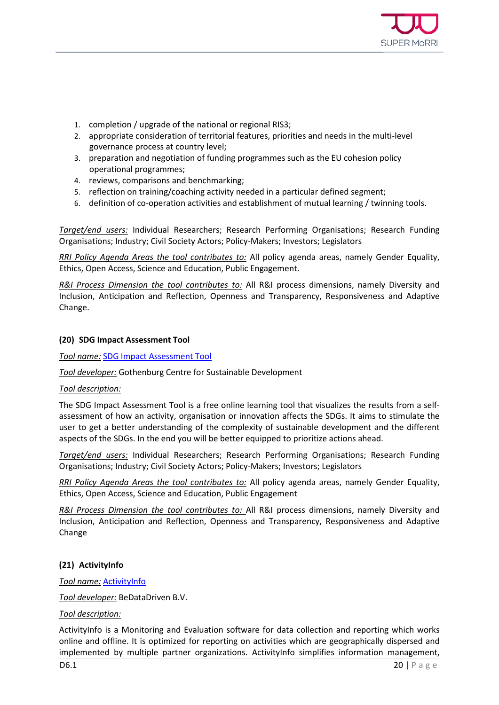

- 1. completion / upgrade of the national or regional RIS3;
- 2. appropriate consideration of territorial features, priorities and needs in the multi-level governance process at country level;
- 3. preparation and negotiation of funding programmes such as the EU cohesion policy operational programmes;
- 4. reviews, comparisons and benchmarking;
- 5. reflection on training/coaching activity needed in a particular defined segment;
- 6. definition of co-operation activities and establishment of mutual learning / twinning tools.

*Target/end users:* Individual Researchers; Research Performing Organisations; Research Funding Organisations; Industry; Civil Society Actors; Policy-Makers; Investors; Legislators

*RRI Policy Agenda Areas the tool contributes to:* All policy agenda areas, namely Gender Equality, Ethics, Open Access, Science and Education, Public Engagement.

*R&I Process Dimension the tool contributes to:* All R&I process dimensions, namely Diversity and Inclusion, Anticipation and Reflection, Openness and Transparency, Responsiveness and Adaptive Change.

#### **(20) SDG Impact Assessment Tool**

*Tool name:* [SDG Impact Assessment Tool](https://sdgimpactassessmenttool.org/)

*Tool developer:* Gothenburg Centre for Sustainable Development

#### *Tool description:*

The SDG Impact Assessment Tool is a free online learning tool that visualizes the results from a selfassessment of how an activity, organisation or innovation affects the SDGs. It aims to stimulate the user to get a better understanding of the complexity of sustainable development and the different aspects of the SDGs. In the end you will be better equipped to prioritize actions ahead.

*Target/end users:* Individual Researchers; Research Performing Organisations; Research Funding Organisations; Industry; Civil Society Actors; Policy-Makers; Investors; Legislators

*RRI Policy Agenda Areas the tool contributes to:* All policy agenda areas, namely Gender Equality, Ethics, Open Access, Science and Education, Public Engagement

*R&I Process Dimension the tool contributes to:* All R&I process dimensions, namely Diversity and Inclusion, Anticipation and Reflection, Openness and Transparency, Responsiveness and Adaptive Change

#### **(21) ActivityInfo**

#### *Tool name:* [ActivityInfo](https://www.activityinfo.org/)

*Tool developer:* BeDataDriven B.V.

#### *Tool description:*

**D6.1** 20 | Page ActivityInfo is a Monitoring and Evaluation software for data collection and reporting which works online and offline. It is optimized for reporting on activities which are geographically dispersed and implemented by multiple partner organizations. ActivityInfo simplifies information management,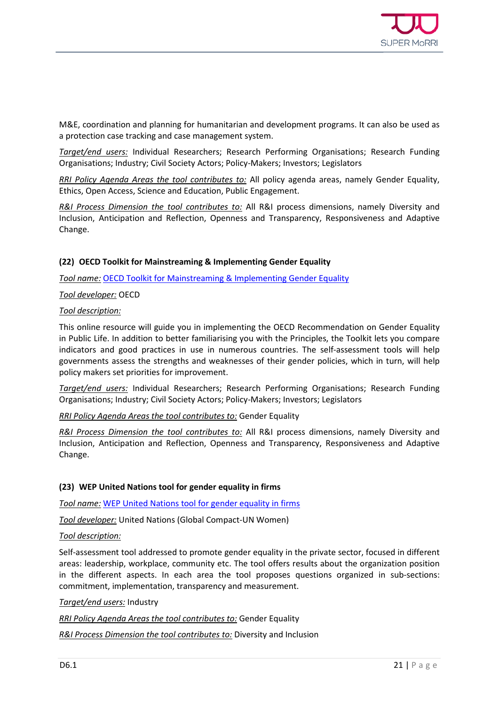

M&E, coordination and planning for humanitarian and development programs. It can also be used as a protection case tracking and case management system.

*Target/end users:* Individual Researchers; Research Performing Organisations; Research Funding Organisations; Industry; Civil Society Actors; Policy-Makers; Investors; Legislators

*RRI Policy Agenda Areas the tool contributes to:* All policy agenda areas, namely Gender Equality, Ethics, Open Access, Science and Education, Public Engagement.

*R&I Process Dimension the tool contributes to:* All R&I process dimensions, namely Diversity and Inclusion, Anticipation and Reflection, Openness and Transparency, Responsiveness and Adaptive Change.

#### **(22) OECD Toolkit for Mainstreaming & Implementing Gender Equality**

*Tool name:* [OECD Toolkit for Mainstreaming & Implementing Gender Equality](http://www.oecd.org/gender/governance/toolkit/)

#### *Tool developer:* OECD

#### *Tool description:*

This online resource will guide you in implementing the OECD Recommendation on Gender Equality in Public Life. In addition to better familiarising you with the Principles, the Toolkit lets you compare indicators and good practices in use in numerous countries. The self-assessment tools will help governments assess the strengths and weaknesses of their gender policies, which in turn, will help policy makers set priorities for improvement.

*Target/end users:* Individual Researchers; Research Performing Organisations; Research Funding Organisations; Industry; Civil Society Actors; Policy-Makers; Investors; Legislators

*RRI Policy Agenda Areas the tool contributes to:* Gender Equality

*R&I Process Dimension the tool contributes to:* All R&I process dimensions, namely Diversity and Inclusion, Anticipation and Reflection, Openness and Transparency, Responsiveness and Adaptive Change.

#### **(23) WEP United Nations tool for gender equality in firms**

*Tool name:* [WEP United Nations tool for gender equality in firms](https://weps-gapanalysis.org/)

*Tool developer:* United Nations (Global Compact-UN Women)

#### *Tool description:*

Self-assessment tool addressed to promote gender equality in the private sector, focused in different areas: leadership, workplace, community etc. The tool offers results about the organization position in the different aspects. In each area the tool proposes questions organized in sub-sections: commitment, implementation, transparency and measurement.

#### *Target/end users:* Industry

*RRI Policy Agenda Areas the tool contributes to:* Gender Equality

*R&I Process Dimension the tool contributes to:* Diversity and Inclusion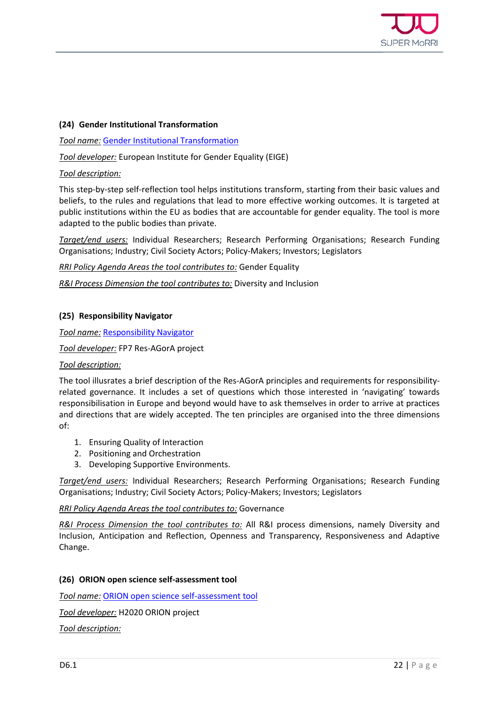

#### **(24) Gender Institutional Transformation**

*Tool name:* [Gender Institutional Transformation](https://eige.europa.eu/gender-mainstreaming/toolkits/gender-institutional-transformation)

*Tool developer:* European Institute for Gender Equality (EIGE)

#### *Tool description:*

This step-by-step self-reflection tool helps institutions transform, starting from their basic values and beliefs, to the rules and regulations that lead to more effective working outcomes. It is targeted at public institutions within the EU as bodies that are accountable for gender equality. The tool is more adapted to the public bodies than private.

*Target/end users:* Individual Researchers; Research Performing Organisations; Research Funding Organisations; Industry; Civil Society Actors; Policy-Makers; Investors; Legislators

*RRI Policy Agenda Areas the tool contributes to:* Gender Equality

*R&I Process Dimension the tool contributes to:* Diversity and Inclusion

#### **(25) Responsibility Navigator**

*Tool name:* [Responsibility Navigator](http://responsibility-navigator.eu/navigator/)

*Tool developer:* FP7 Res-AGorA project

#### *Tool description:*

The tool illusrates a brief description of the Res-AGorA principles and requirements for responsibilityrelated governance. It includes a set of questions which those interested in 'navigating' towards responsibilisation in Europe and beyond would have to ask themselves in order to arrive at practices and directions that are widely accepted. The ten principles are organised into the three dimensions of:

- 1. Ensuring Quality of Interaction
- 2. Positioning and Orchestration
- 3. Developing Supportive Environments.

*Target/end users:* Individual Researchers; Research Performing Organisations; Research Funding Organisations; Industry; Civil Society Actors; Policy-Makers; Investors; Legislators

#### *RRI Policy Agenda Areas the tool contributes to:* Governance

*R&I Process Dimension the tool contributes to:* All R&I process dimensions, namely Diversity and Inclusion, Anticipation and Reflection, Openness and Transparency, Responsiveness and Adaptive Change.

#### **(26) ORION open science self-assessment tool**

*Tool name:* [ORION open science self-assessment tool](https://www.orion-openscience.eu/publications/deliverables/201812/d22-questionnaire-self-assessment-open-science)

*Tool developer:* H2020 ORION project

*Tool description:*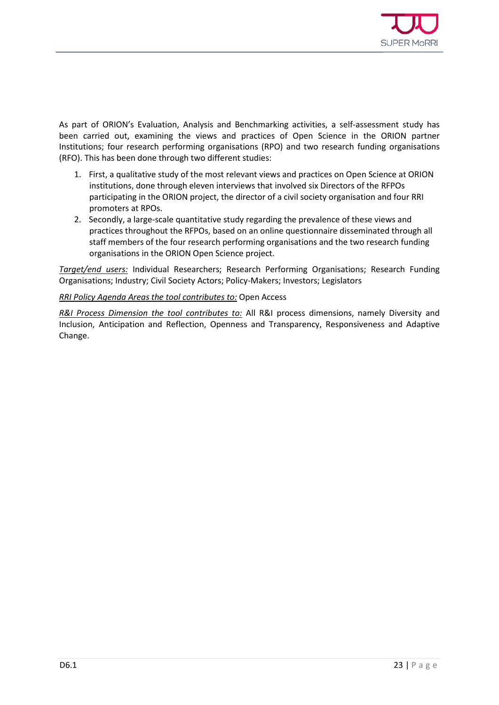

As part of ORION's Evaluation, Analysis and Benchmarking activities, a self-assessment study has been carried out, examining the views and practices of Open Science in the ORION partner Institutions; four research performing organisations (RPO) and two research funding organisations (RFO). This has been done through two different studies:

- 1. First, a qualitative study of the most relevant views and practices on Open Science at ORION institutions, done through eleven interviews that involved six Directors of the RFPOs participating in the ORION project, the director of a civil society organisation and four RRI promoters at RPOs.
- 2. Secondly, a large-scale quantitative study regarding the prevalence of these views and practices throughout the RFPOs, based on an online questionnaire disseminated through all staff members of the four research performing organisations and the two research funding organisations in the ORION Open Science project.

*Target/end users:* Individual Researchers; Research Performing Organisations; Research Funding Organisations; Industry; Civil Society Actors; Policy-Makers; Investors; Legislators

#### *RRI Policy Agenda Areas the tool contributes to:* Open Access

*R&I Process Dimension the tool contributes to:* All R&I process dimensions, namely Diversity and Inclusion, Anticipation and Reflection, Openness and Transparency, Responsiveness and Adaptive Change.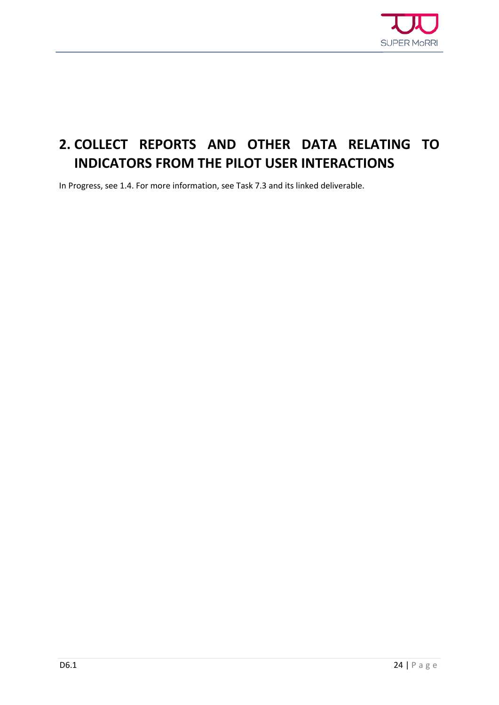

### <span id="page-22-0"></span>**2. COLLECT REPORTS AND OTHER DATA RELATING TO INDICATORS FROM THE PILOT USER INTERACTIONS**

In Progress, see 1.4. For more information, see Task 7.3 and its linked deliverable.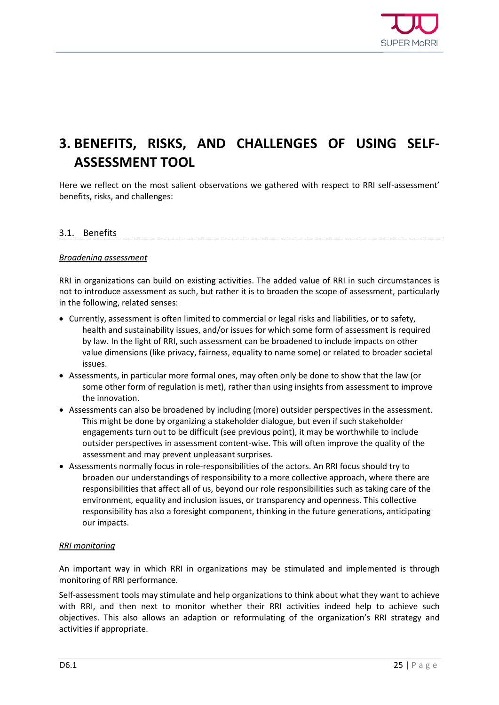

### <span id="page-23-0"></span>**3. BENEFITS, RISKS, AND CHALLENGES OF USING SELF-ASSESSMENT TOOL**

Here we reflect on the most salient observations we gathered with respect to RRI self-assessment' benefits, risks, and challenges:

#### <span id="page-23-1"></span>3.1. Benefits

#### *Broadening assessment*

RRI in organizations can build on existing activities. The added value of RRI in such circumstances is not to introduce assessment as such, but rather it is to broaden the scope of assessment, particularly in the following, related senses:

- Currently, assessment is often limited to commercial or legal risks and liabilities, or to safety, health and sustainability issues, and/or issues for which some form of assessment is required by law. In the light of RRI, such assessment can be broadened to include impacts on other value dimensions (like privacy, fairness, equality to name some) or related to broader societal issues.
- Assessments, in particular more formal ones, may often only be done to show that the law (or some other form of regulation is met), rather than using insights from assessment to improve the innovation.
- Assessments can also be broadened by including (more) outsider perspectives in the assessment. This might be done by organizing a stakeholder dialogue, but even if such stakeholder engagements turn out to be difficult (see previous point), it may be worthwhile to include outsider perspectives in assessment content-wise. This will often improve the quality of the assessment and may prevent unpleasant surprises.
- Assessments normally focus in role-responsibilities of the actors. An RRI focus should try to broaden our understandings of responsibility to a more collective approach, where there are responsibilities that affect all of us, beyond our role responsibilities such as taking care of the environment, equality and inclusion issues, or transparency and openness. This collective responsibility has also a foresight component, thinking in the future generations, anticipating our impacts.

#### *RRI monitoring*

An important way in which RRI in organizations may be stimulated and implemented is through monitoring of RRI performance.

Self-assessment tools may stimulate and help organizations to think about what they want to achieve with RRI, and then next to monitor whether their RRI activities indeed help to achieve such objectives. This also allows an adaption or reformulating of the organization's RRI strategy and activities if appropriate.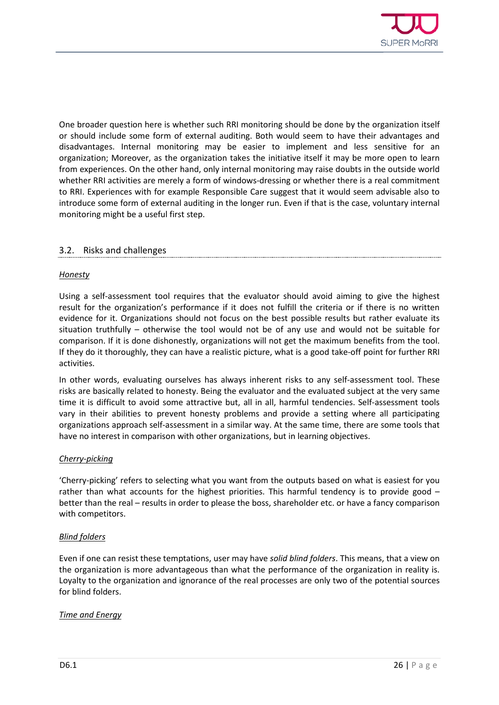

One broader question here is whether such RRI monitoring should be done by the organization itself or should include some form of external auditing. Both would seem to have their advantages and disadvantages. Internal monitoring may be easier to implement and less sensitive for an organization; Moreover, as the organization takes the initiative itself it may be more open to learn from experiences. On the other hand, only internal monitoring may raise doubts in the outside world whether RRI activities are merely a form of windows-dressing or whether there is a real commitment to RRI. Experiences with for example Responsible Care suggest that it would seem advisable also to introduce some form of external auditing in the longer run. Even if that is the case, voluntary internal monitoring might be a useful first step.

#### <span id="page-24-0"></span>3.2. Risks and challenges

#### *Honesty*

Using a self-assessment tool requires that the evaluator should avoid aiming to give the highest result for the organization's performance if it does not fulfill the criteria or if there is no written evidence for it. Organizations should not focus on the best possible results but rather evaluate its situation truthfully – otherwise the tool would not be of any use and would not be suitable for comparison. If it is done dishonestly, organizations will not get the maximum benefits from the tool. If they do it thoroughly, they can have a realistic picture, what is a good take-off point for further RRI activities.

In other words, evaluating ourselves has always inherent risks to any self-assessment tool. These risks are basically related to honesty. Being the evaluator and the evaluated subject at the very same time it is difficult to avoid some attractive but, all in all, harmful tendencies. Self-assessment tools vary in their abilities to prevent honesty problems and provide a setting where all participating organizations approach self-assessment in a similar way. At the same time, there are some tools that have no interest in comparison with other organizations, but in learning objectives.

#### *Cherry-picking*

'Cherry-picking' refers to selecting what you want from the outputs based on what is easiest for you rather than what accounts for the highest priorities. This harmful tendency is to provide good – better than the real – results in order to please the boss, shareholder etc. or have a fancy comparison with competitors.

#### *Blind folders*

Even if one can resist these temptations, user may have *solid blind folders*. This means, that a view on the organization is more advantageous than what the performance of the organization in reality is. Loyalty to the organization and ignorance of the real processes are only two of the potential sources for blind folders.

#### *Time and Energy*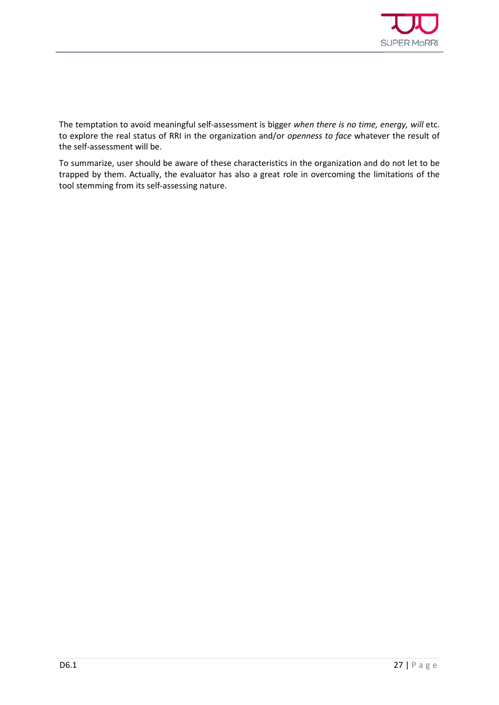

The temptation to avoid meaningful self-assessment is bigger *when there is no time, energy, will* etc. to explore the real status of RRI in the organization and/or *openness to face* whatever the result of the self-assessment will be.

To summarize, user should be aware of these characteristics in the organization and do not let to be trapped by them. Actually, the evaluator has also a great role in overcoming the limitations of the tool stemming from its self-assessing nature.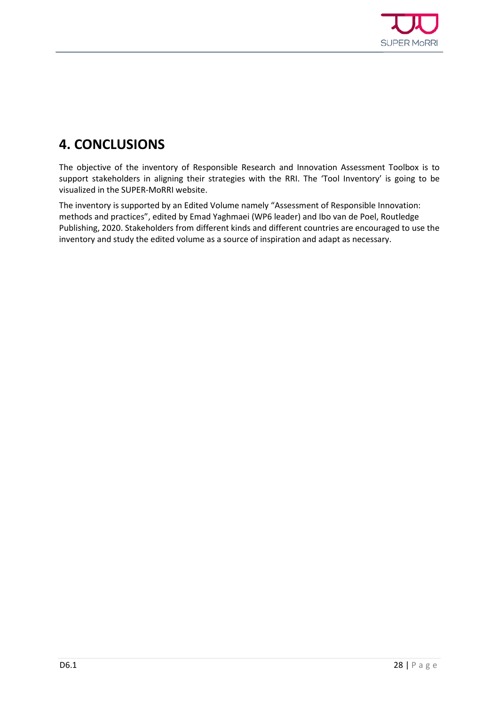

## <span id="page-26-0"></span>**4. CONCLUSIONS**

The objective of the inventory of Responsible Research and Innovation Assessment Toolbox is to support stakeholders in aligning their strategies with the RRI. The 'Tool Inventory' is going to be visualized in the SUPER-MoRRI website.

The inventory is supported by an Edited Volume namely "Assessment of Responsible Innovation: methods and practices", edited by Emad Yaghmaei (WP6 leader) and Ibo van de Poel, Routledge Publishing, 2020. Stakeholders from different kinds and different countries are encouraged to use the inventory and study the edited volume as a source of inspiration and adapt as necessary.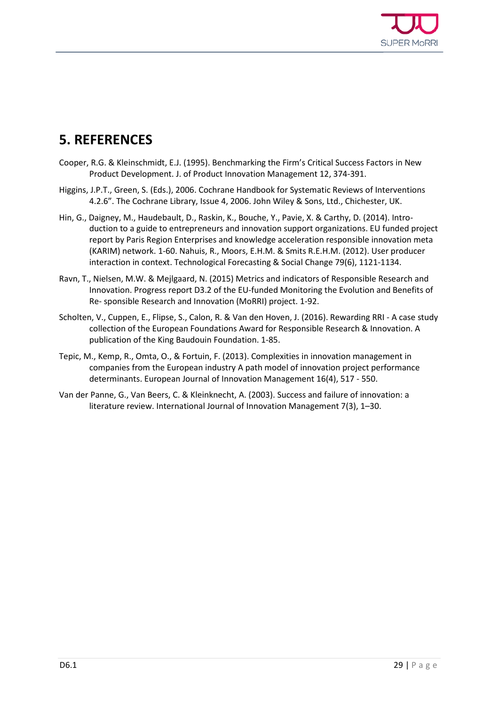

### <span id="page-27-0"></span>**5. REFERENCES**

- Cooper, R.G. & Kleinschmidt, E.J. (1995). Benchmarking the Firm's Critical Success Factors in New Product Development. J. of Product Innovation Management 12, 374-391.
- Higgins, J.P.T., Green, S. (Eds.), 2006. Cochrane Handbook for Systematic Reviews of Interventions 4.2.6". The Cochrane Library, Issue 4, 2006. John Wiley & Sons, Ltd., Chichester, UK.
- Hin, G., Daigney, M., Haudebault, D., Raskin, K., Bouche, Y., Pavie, X. & Carthy, D. (2014). Introduction to a guide to entrepreneurs and innovation support organizations. EU funded project report by Paris Region Enterprises and knowledge acceleration responsible innovation meta (KARIM) network. 1-60. Nahuis, R., Moors, E.H.M. & Smits R.E.H.M. (2012). User producer interaction in context. Technological Forecasting & Social Change 79(6), 1121-1134.
- Ravn, T., Nielsen, M.W. & Mejlgaard, N. (2015) Metrics and indicators of Responsible Research and Innovation. Progress report D3.2 of the EU-funded Monitoring the Evolution and Benefits of Re- sponsible Research and Innovation (MoRRI) project. 1-92.
- Scholten, V., Cuppen, E., Flipse, S., Calon, R. & Van den Hoven, J. (2016). Rewarding RRI A case study collection of the European Foundations Award for Responsible Research & Innovation. A publication of the King Baudouin Foundation. 1-85.
- Tepic, M., Kemp, R., Omta, O., & Fortuin, F. (2013). Complexities in innovation management in companies from the European industry A path model of innovation project performance determinants. European Journal of Innovation Management 16(4), 517 - 550.
- Van der Panne, G., Van Beers, C. & Kleinknecht, A. (2003). Success and failure of innovation: a literature review. International Journal of Innovation Management 7(3), 1–30.